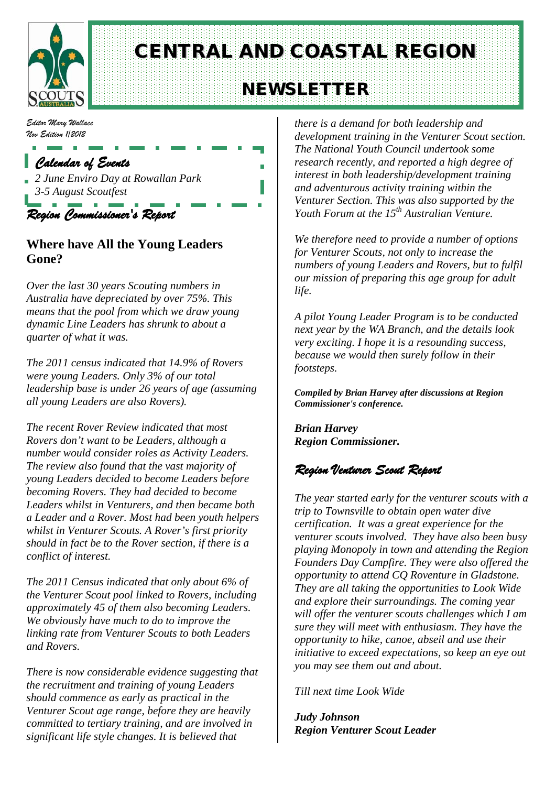

# CENTRAL AND COASTAL REGION

## NEWSLETTER

*Editor Mary Wallace Nov Edition 1/2012*

## *Calendar of Events*

*2 June Enviro Day at Rowallan Park 3-5 August Scoutfest*

*Region Commissioner's Report* 

### **Where have All the Young Leaders Gone?**

*Over the last 30 years Scouting numbers in Australia have depreciated by over 75%. This means that the pool from which we draw young dynamic Line Leaders has shrunk to about a quarter of what it was.*

*The 2011 census indicated that 14.9% of Rovers were young Leaders. Only 3% of our total leadership base is under 26 years of age (assuming all young Leaders are also Rovers).*

*The recent Rover Review indicated that most Rovers don't want to be Leaders, although a number would consider roles as Activity Leaders. The review also found that the vast majority of young Leaders decided to become Leaders before becoming Rovers. They had decided to become Leaders whilst in Venturers, and then became both a Leader and a Rover. Most had been youth helpers whilst in Venturer Scouts. A Rover's first priority should in fact be to the Rover section, if there is a conflict of interest.*

*The 2011 Census indicated that only about 6% of the Venturer Scout pool linked to Rovers, including approximately 45 of them also becoming Leaders. We obviously have much to do to improve the linking rate from Venturer Scouts to both Leaders and Rovers.*

*There is now considerable evidence suggesting that the recruitment and training of young Leaders should commence as early as practical in the Venturer Scout age range, before they are heavily committed to tertiary training, and are involved in significant life style changes. It is believed that* 

*there is a demand for both leadership and development training in the Venturer Scout section. The National Youth Council undertook some research recently, and reported a high degree of interest in both leadership/development training and adventurous activity training within the Venturer Section. This was also supported by the Youth Forum at the 15th Australian Venture.*

*We therefore need to provide a number of options for Venturer Scouts, not only to increase the numbers of young Leaders and Rovers, but to fulfil our mission of preparing this age group for adult life.*

*A pilot Young Leader Program is to be conducted next year by the WA Branch, and the details look very exciting. I hope it is a resounding success, because we would then surely follow in their footsteps.*

*Compiled by Brian Harvey after discussions at Region Commissioner's conference.*

*Brian Harvey Region Commissioner.*

## *Region Venturer Scout Report*

*The year started early for the venturer scouts with a trip to Townsville to obtain open water dive certification. It was a great experience for the venturer scouts involved. They have also been busy playing Monopoly in town and attending the Region Founders Day Campfire. They were also offered the opportunity to attend CQ Roventure in Gladstone. They are all taking the opportunities to Look Wide and explore their surroundings. The coming year will offer the venturer scouts challenges which I am sure they will meet with enthusiasm. They have the opportunity to hike, canoe, abseil and use their initiative to exceed expectations, so keep an eye out you may see them out and about.* 

*Till next time Look Wide*

*Judy Johnson Region Venturer Scout Leader*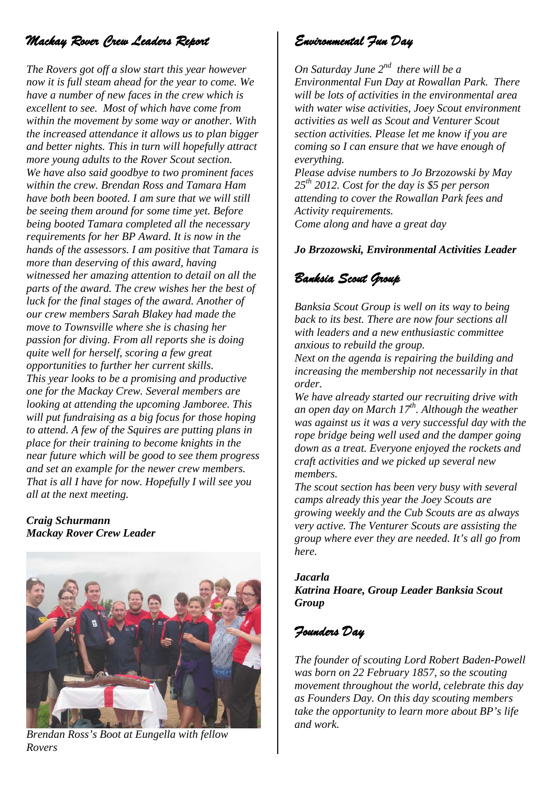## *Mackay Rover Crew Leaders Report*

*The Rovers got off a slow start this year however now it is full steam ahead for the year to come. We have a number of new faces in the crew which is excellent to see. Most of which have come from within the movement by some way or another. With the increased attendance it allows us to plan bigger and better nights. This in turn will hopefully attract more young adults to the Rover Scout section. We have also said goodbye to two prominent faces within the crew. Brendan Ross and Tamara Ham have both been booted. I am sure that we will still be seeing them around for some time yet. Before being booted Tamara completed all the necessary requirements for her BP Award. It is now in the hands of the assessors. I am positive that Tamara is more than deserving of this award, having witnessed her amazing attention to detail on all the parts of the award. The crew wishes her the best of luck for the final stages of the award. Another of our crew members Sarah Blakey had made the move to Townsville where she is chasing her passion for diving. From all reports she is doing quite well for herself, scoring a few great opportunities to further her current skills. This year looks to be a promising and productive one for the Mackay Crew. Several members are looking at attending the upcoming Jamboree. This will put fundraising as a big focus for those hoping to attend. A few of the Squires are putting plans in place for their training to become knights in the near future which will be good to see them progress and set an example for the newer crew members. That is all I have for now. Hopefully I will see you all at the next meeting.*

#### *Craig Schurmann Mackay Rover Crew Leader*



*Brendan Ross's Boot at Eungella with fellow Rovers*

## *Environmental Fun Day*

*On Saturday June 2nd there will be a Environmental Fun Day at Rowallan Park. There will be lots of activities in the environmental area with water wise activities, Joey Scout environment activities as well as Scout and Venturer Scout section activities. Please let me know if you are coming so I can ensure that we have enough of everything.*

*Please advise numbers to Jo Brzozowski by May 25th 2012. Cost for the day is \$5 per person attending to cover the Rowallan Park fees and Activity requirements.* 

*Come along and have a great day* 

#### *Jo Brzozowski, Environmental Activities Leader*

## *Banksia Scout Group*

*Banksia Scout Group is well on its way to being back to its best. There are now four sections all with leaders and a new enthusiastic committee anxious to rebuild the group.*

*Next on the agenda is repairing the building and increasing the membership not necessarily in that order.* 

*We have already started our recruiting drive with an open day on March 17th. Although the weather was against us it was a very successful day with the rope bridge being well used and the damper going down as a treat. Everyone enjoyed the rockets and craft activities and we picked up several new members.* 

*The scout section has been very busy with several camps already this year the Joey Scouts are growing weekly and the Cub Scouts are as always very active. The Venturer Scouts are assisting the group where ever they are needed. It's all go from here.*

#### *Jacarla Katrina Hoare, Group Leader Banksia Scout Group*

## *Founders Day*

*The founder of scouting Lord Robert Baden-Powell was born on 22 February 1857, so the scouting movement throughout the world, celebrate this day as Founders Day. On this day scouting members take the opportunity to learn more about BP's life and work.*